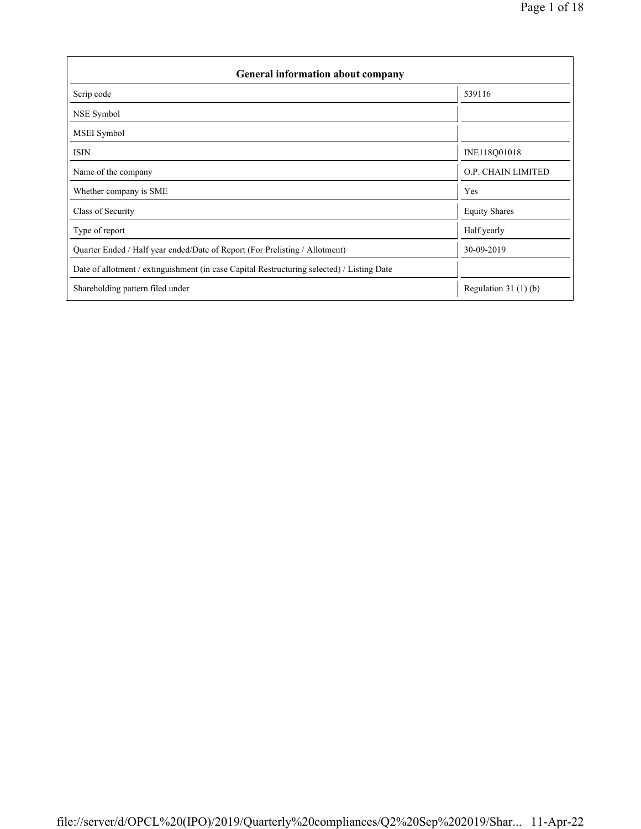| <b>General information about company</b>                                                   |                        |  |  |  |  |  |
|--------------------------------------------------------------------------------------------|------------------------|--|--|--|--|--|
| Scrip code                                                                                 | 539116                 |  |  |  |  |  |
| NSE Symbol                                                                                 |                        |  |  |  |  |  |
| MSEI Symbol                                                                                |                        |  |  |  |  |  |
| <b>ISIN</b>                                                                                | INE118Q01018           |  |  |  |  |  |
| Name of the company                                                                        | O.P. CHAIN LIMITED     |  |  |  |  |  |
| Whether company is SME                                                                     | Yes                    |  |  |  |  |  |
| Class of Security                                                                          | <b>Equity Shares</b>   |  |  |  |  |  |
| Type of report                                                                             | Half yearly            |  |  |  |  |  |
| Quarter Ended / Half year ended/Date of Report (For Prelisting / Allotment)                | 30-09-2019             |  |  |  |  |  |
| Date of allotment / extinguishment (in case Capital Restructuring selected) / Listing Date |                        |  |  |  |  |  |
| Shareholding pattern filed under                                                           | Regulation 31 $(1)(b)$ |  |  |  |  |  |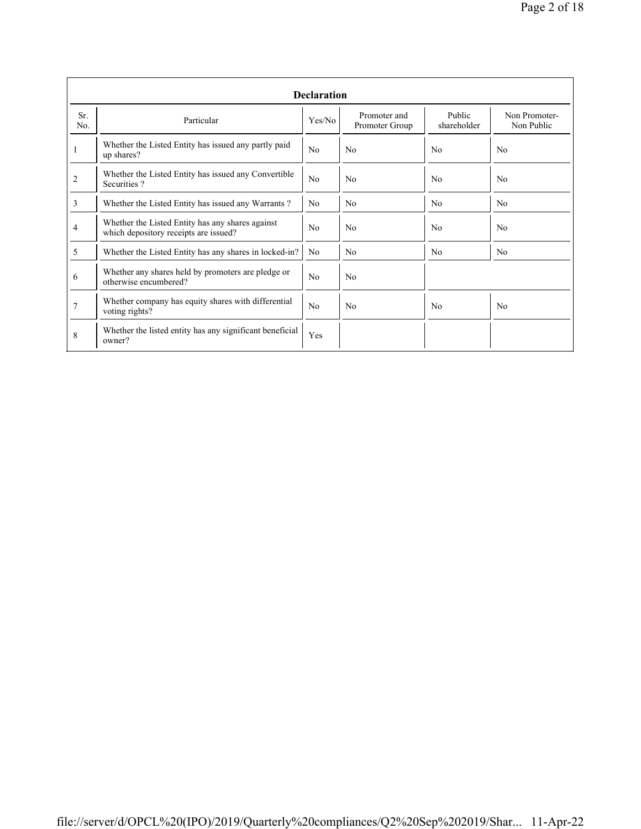|                | <b>Declaration</b>                                                                        |                |                                |                       |                             |  |  |  |  |  |
|----------------|-------------------------------------------------------------------------------------------|----------------|--------------------------------|-----------------------|-----------------------------|--|--|--|--|--|
| Sr.<br>No.     | Particular                                                                                | Yes/No         | Promoter and<br>Promoter Group | Public<br>shareholder | Non Promoter-<br>Non Public |  |  |  |  |  |
| 1              | Whether the Listed Entity has issued any partly paid<br>up shares?                        | No             | N <sub>0</sub>                 | No                    | N <sub>0</sub>              |  |  |  |  |  |
| 2              | Whether the Listed Entity has issued any Convertible<br>Securities?                       | No             | N <sub>0</sub>                 | N <sub>0</sub>        | N <sub>0</sub>              |  |  |  |  |  |
| 3              | Whether the Listed Entity has issued any Warrants?                                        | N <sub>0</sub> | N <sub>0</sub>                 | N <sub>0</sub>        | N <sub>0</sub>              |  |  |  |  |  |
| 4              | Whether the Listed Entity has any shares against<br>which depository receipts are issued? |                | No                             | No                    | N <sub>0</sub>              |  |  |  |  |  |
| 5              | Whether the Listed Entity has any shares in locked-in?                                    | N <sub>0</sub> | No                             | No.                   | N <sub>0</sub>              |  |  |  |  |  |
| 6              | Whether any shares held by promoters are pledge or<br>otherwise encumbered?               | No             | No                             |                       |                             |  |  |  |  |  |
| $\overline{7}$ | Whether company has equity shares with differential<br>voting rights?                     | No             | No                             | No                    | N <sub>0</sub>              |  |  |  |  |  |
| 8              | Whether the listed entity has any significant beneficial<br>owner?                        | Yes            |                                |                       |                             |  |  |  |  |  |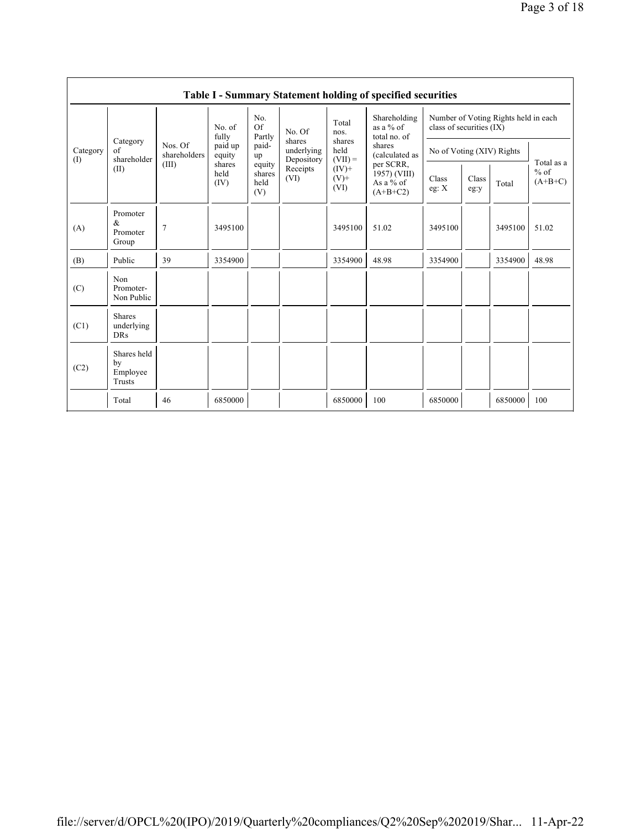|                 | Table I - Summary Statement holding of specified securities |                                  |                                                                |                                 |                                    |                                                           |                                                      |                                                                  |               |         |                                   |  |
|-----------------|-------------------------------------------------------------|----------------------------------|----------------------------------------------------------------|---------------------------------|------------------------------------|-----------------------------------------------------------|------------------------------------------------------|------------------------------------------------------------------|---------------|---------|-----------------------------------|--|
| Category<br>(I) | Category<br>of<br>shareholder<br>(II)                       | Nos. Of<br>shareholders<br>(III) | No. of<br>fully<br>paid up<br>equity<br>shares<br>held<br>(IV) | No.<br>Of<br>Partly             | No. Of                             | Total<br>nos.                                             | Shareholding<br>as a $%$ of<br>total no. of          | Number of Voting Rights held in each<br>class of securities (IX) |               |         |                                   |  |
|                 |                                                             |                                  |                                                                | paid-<br>up                     | shares<br>underlying<br>Depository | shares<br>held<br>$(VII) =$<br>$(IV)+$<br>$(V)$ +<br>(VI) | shares<br>(calculated as                             | No of Voting (XIV) Rights                                        |               |         | Total as a<br>$%$ of<br>$(A+B+C)$ |  |
|                 |                                                             |                                  |                                                                | equity<br>shares<br>held<br>(V) | Receipts<br>(VI)                   |                                                           | per SCRR,<br>1957) (VIII)<br>As a % of<br>$(A+B+C2)$ | Class<br>eg: $X$                                                 | Class<br>eg:y | Total   |                                   |  |
| (A)             | Promoter<br>&<br>Promoter<br>Group                          | $\overline{7}$                   | 3495100                                                        |                                 |                                    | 3495100                                                   | 51.02                                                | 3495100                                                          |               | 3495100 | 51.02                             |  |
| (B)             | Public                                                      | 39                               | 3354900                                                        |                                 |                                    | 3354900                                                   | 48.98                                                | 3354900                                                          |               | 3354900 | 48.98                             |  |
| (C)             | Non<br>Promoter-<br>Non Public                              |                                  |                                                                |                                 |                                    |                                                           |                                                      |                                                                  |               |         |                                   |  |
| (C1)            | <b>Shares</b><br>underlying<br><b>DRs</b>                   |                                  |                                                                |                                 |                                    |                                                           |                                                      |                                                                  |               |         |                                   |  |
| (C2)            | Shares held<br>by<br>Employee<br>Trusts                     |                                  |                                                                |                                 |                                    |                                                           |                                                      |                                                                  |               |         |                                   |  |
|                 | Total                                                       | 46                               | 6850000                                                        |                                 |                                    | 6850000                                                   | 100                                                  | 6850000                                                          |               | 6850000 | 100                               |  |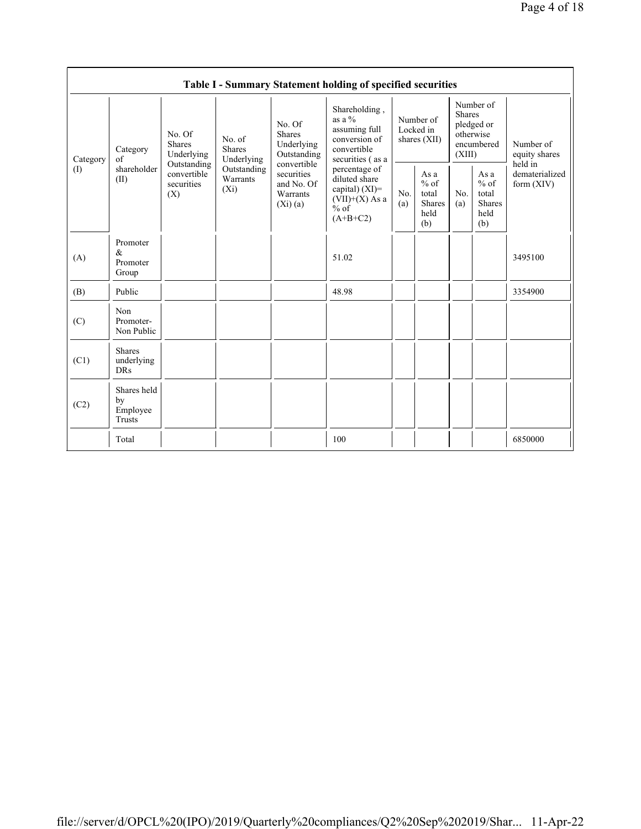|                                        | Table I - Summary Statement holding of specified securities |                                                                                          |                                                                             |                                                                                                                           |                                                                                                                                                                                                    |                                        |                                                         |                                                                               |                                                  |                                       |  |
|----------------------------------------|-------------------------------------------------------------|------------------------------------------------------------------------------------------|-----------------------------------------------------------------------------|---------------------------------------------------------------------------------------------------------------------------|----------------------------------------------------------------------------------------------------------------------------------------------------------------------------------------------------|----------------------------------------|---------------------------------------------------------|-------------------------------------------------------------------------------|--------------------------------------------------|---------------------------------------|--|
| Category<br>$\left( \mathrm{I}\right)$ | Category<br>of<br>shareholder<br>(II)                       | No. Of<br><b>Shares</b><br>Underlying<br>Outstanding<br>convertible<br>securities<br>(X) | No. of<br><b>Shares</b><br>Underlying<br>Outstanding<br>Warrants<br>$(X_i)$ | No. Of<br><b>Shares</b><br>Underlying<br>Outstanding<br>convertible<br>securities<br>and No. Of<br>Warrants<br>$(X_i)(a)$ | Shareholding,<br>as a $\%$<br>assuming full<br>conversion of<br>convertible<br>securities (as a<br>percentage of<br>diluted share<br>capital) $(XI)$ =<br>$(VII)+(X)$ As a<br>$%$ of<br>$(A+B+C2)$ | Number of<br>Locked in<br>shares (XII) |                                                         | Number of<br><b>Shares</b><br>pledged or<br>otherwise<br>encumbered<br>(XIII) |                                                  | Number of<br>equity shares<br>held in |  |
|                                        |                                                             |                                                                                          |                                                                             |                                                                                                                           |                                                                                                                                                                                                    | No.<br>(a)                             | As a<br>$%$ of<br>total<br><b>Shares</b><br>held<br>(b) | No.<br>(a)                                                                    | As a<br>$%$ of<br>total<br>Shares<br>held<br>(b) | dematerialized<br>form $(XIV)$        |  |
| (A)                                    | Promoter<br>&<br>Promoter<br>Group                          |                                                                                          |                                                                             |                                                                                                                           | 51.02                                                                                                                                                                                              |                                        |                                                         |                                                                               |                                                  | 3495100                               |  |
| (B)                                    | Public                                                      |                                                                                          |                                                                             |                                                                                                                           | 48.98                                                                                                                                                                                              |                                        |                                                         |                                                                               |                                                  | 3354900                               |  |
| (C)                                    | Non<br>Promoter-<br>Non Public                              |                                                                                          |                                                                             |                                                                                                                           |                                                                                                                                                                                                    |                                        |                                                         |                                                                               |                                                  |                                       |  |
| (C1)                                   | <b>Shares</b><br>underlying<br><b>DRs</b>                   |                                                                                          |                                                                             |                                                                                                                           |                                                                                                                                                                                                    |                                        |                                                         |                                                                               |                                                  |                                       |  |
| (C2)                                   | Shares held<br>by<br>Employee<br>Trusts                     |                                                                                          |                                                                             |                                                                                                                           |                                                                                                                                                                                                    |                                        |                                                         |                                                                               |                                                  |                                       |  |
|                                        | Total                                                       |                                                                                          |                                                                             |                                                                                                                           | 100                                                                                                                                                                                                |                                        |                                                         |                                                                               |                                                  | 6850000                               |  |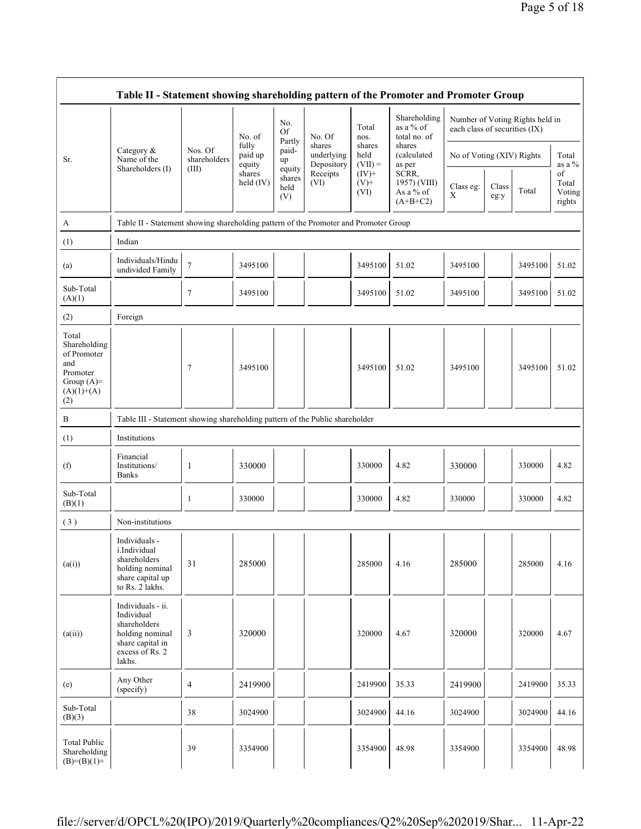|                                                                                                |                                                                                                                     |                         | No. of                     | No.<br><b>Of</b><br>Partly      | No. Of                             | Total<br>nos.               | Shareholding<br>as a % of<br>total no. of<br>shares<br>(calculated<br>as per | Number of Voting Rights held in<br>each class of securities (IX) |               |         |                                 |
|------------------------------------------------------------------------------------------------|---------------------------------------------------------------------------------------------------------------------|-------------------------|----------------------------|---------------------------------|------------------------------------|-----------------------------|------------------------------------------------------------------------------|------------------------------------------------------------------|---------------|---------|---------------------------------|
| Sr.                                                                                            | Category $\&$<br>Name of the                                                                                        | Nos. Of<br>shareholders | fully<br>paid up<br>equity | paid-<br>up                     | shares<br>underlying<br>Depository | shares<br>held<br>$(VII) =$ |                                                                              | No of Voting (XIV) Rights                                        |               |         | Total<br>as a %                 |
|                                                                                                | Shareholders (I)                                                                                                    | (III)                   | shares<br>held (IV)        | equity<br>shares<br>held<br>(V) | Receipts<br>(VI)                   | $(IV)$ +<br>$(V)$ +<br>(VI) | SCRR,<br>1957) (VIII)<br>As a % of<br>$(A+B+C2)$                             | Class eg:<br>X                                                   | Class<br>eg:y | Total   | of<br>Total<br>Voting<br>rights |
| A                                                                                              | Table II - Statement showing shareholding pattern of the Promoter and Promoter Group                                |                         |                            |                                 |                                    |                             |                                                                              |                                                                  |               |         |                                 |
| (1)                                                                                            | Indian                                                                                                              |                         |                            |                                 |                                    |                             |                                                                              |                                                                  |               |         |                                 |
| (a)                                                                                            | Individuals/Hindu<br>undivided Family                                                                               | $\tau$                  | 3495100                    |                                 |                                    | 3495100                     | 51.02                                                                        | 3495100                                                          |               | 3495100 | 51.02                           |
| Sub-Total<br>(A)(1)                                                                            |                                                                                                                     | 7                       | 3495100                    |                                 |                                    | 3495100                     | 51.02                                                                        | 3495100                                                          |               | 3495100 | 51.02                           |
| (2)                                                                                            | Foreign                                                                                                             |                         |                            |                                 |                                    |                             |                                                                              |                                                                  |               |         |                                 |
| Total<br>Shareholding<br>of Promoter<br>and<br>Promoter<br>Group $(A)=$<br>$(A)(1)+(A)$<br>(2) |                                                                                                                     | $\overline{7}$          | 3495100                    |                                 |                                    | 3495100                     | 51.02                                                                        | 3495100                                                          |               | 3495100 | 51.02                           |
| B                                                                                              | Table III - Statement showing shareholding pattern of the Public shareholder                                        |                         |                            |                                 |                                    |                             |                                                                              |                                                                  |               |         |                                 |
| (1)                                                                                            | Institutions                                                                                                        |                         |                            |                                 |                                    |                             |                                                                              |                                                                  |               |         |                                 |
| (f)                                                                                            | Financial<br>Institutions/<br><b>Banks</b>                                                                          | 1                       | 330000                     |                                 |                                    | 330000                      | 4.82                                                                         | 330000                                                           |               | 330000  | 4.82                            |
| Sub-Total<br>(B)(1)                                                                            |                                                                                                                     | 1                       | 330000                     |                                 |                                    | 330000                      | 4.82                                                                         | 330000                                                           |               | 330000  | 4.82                            |
| (3)                                                                                            | Non-institutions                                                                                                    |                         |                            |                                 |                                    |                             |                                                                              |                                                                  |               |         |                                 |
| (a(i))                                                                                         | Individuals -<br>i.Individual<br>shareholders<br>holding nominal<br>share capital up<br>to Rs. 2 lakhs.             | 31                      | 285000                     |                                 |                                    | 285000                      | 4.16                                                                         | 285000                                                           |               | 285000  | 4.16                            |
| (a(ii))                                                                                        | Individuals - ii.<br>Individual<br>shareholders<br>holding nominal<br>share capital in<br>excess of Rs. 2<br>lakhs. | 3                       | 320000                     |                                 |                                    | 320000                      | 4.67                                                                         | 320000                                                           |               | 320000  | 4.67                            |
| (e)                                                                                            | Any Other<br>(specify)                                                                                              | $\overline{4}$          | 2419900                    |                                 |                                    | 2419900                     | 35.33                                                                        | 2419900                                                          |               | 2419900 | 35.33                           |
| Sub-Total<br>(B)(3)                                                                            |                                                                                                                     | 38                      | 3024900                    |                                 |                                    | 3024900                     | 44.16                                                                        | 3024900                                                          |               | 3024900 | 44.16                           |
| <b>Total Public</b><br>Shareholding<br>$(B)= (B)(1) +$                                         |                                                                                                                     | 39                      | 3354900                    |                                 |                                    | 3354900                     | 48.98                                                                        | 3354900                                                          |               | 3354900 | 48.98                           |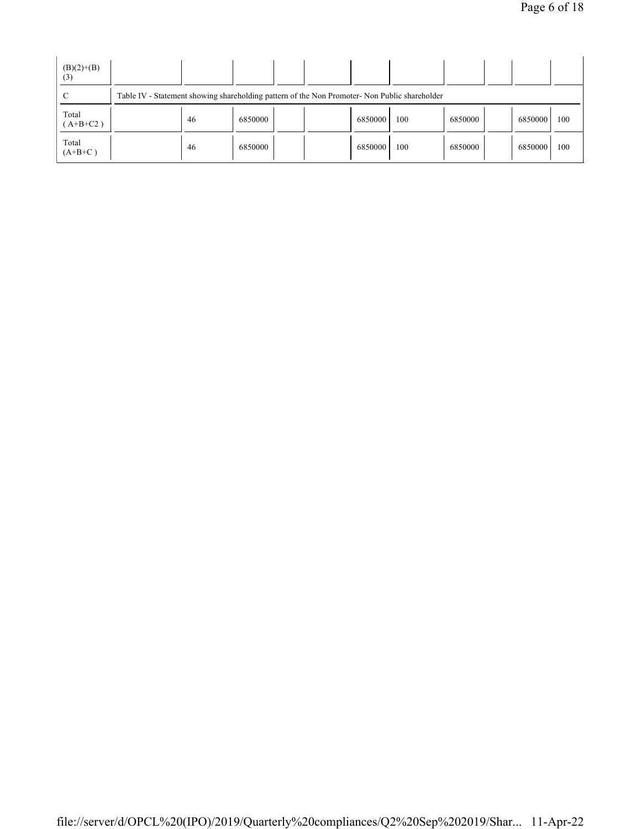| $(B)(2)+(B)$<br>(3) |                                                                                               |         |  |  |         |     |         |  |         |     |
|---------------------|-----------------------------------------------------------------------------------------------|---------|--|--|---------|-----|---------|--|---------|-----|
| C                   | Table IV - Statement showing shareholding pattern of the Non Promoter- Non Public shareholder |         |  |  |         |     |         |  |         |     |
| Total<br>$(A+B+C2)$ | -46                                                                                           | 6850000 |  |  | 6850000 | 100 | 6850000 |  | 6850000 | 100 |
| Total<br>$(A+B+C)$  | -46                                                                                           | 6850000 |  |  | 6850000 | 100 | 6850000 |  | 6850000 | 100 |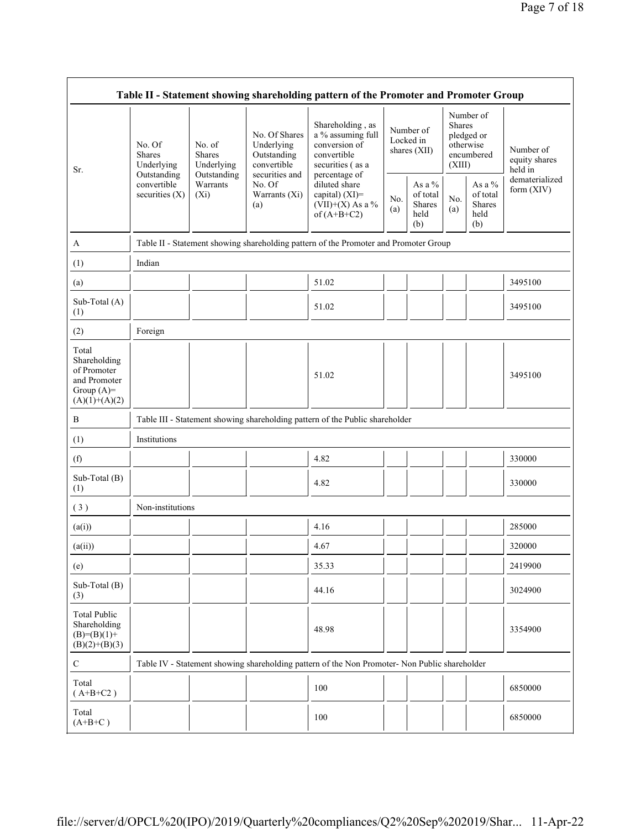| Table II - Statement showing shareholding pattern of the Promoter and Promoter Group    |                                                                                         |                                                                      |                                                                                                               |                                                                                                                                                                                      |            |                                                |                                                                               |                                                       |                                                         |  |  |
|-----------------------------------------------------------------------------------------|-----------------------------------------------------------------------------------------|----------------------------------------------------------------------|---------------------------------------------------------------------------------------------------------------|--------------------------------------------------------------------------------------------------------------------------------------------------------------------------------------|------------|------------------------------------------------|-------------------------------------------------------------------------------|-------------------------------------------------------|---------------------------------------------------------|--|--|
| Sr.                                                                                     | No. Of<br><b>Shares</b><br>Underlying<br>Outstanding<br>convertible<br>securities $(X)$ | No. of<br>Shares<br>Underlying<br>Outstanding<br>Warrants<br>$(X_i)$ | No. Of Shares<br>Underlying<br>Outstanding<br>convertible<br>securities and<br>No. Of<br>Warrants (Xi)<br>(a) | Shareholding, as<br>a % assuming full<br>conversion of<br>convertible<br>securities (as a<br>percentage of<br>diluted share<br>capital) (XI)=<br>$(VII)+(X)$ As a %<br>of $(A+B+C2)$ |            | Number of<br>Locked in<br>shares (XII)         | Number of<br><b>Shares</b><br>pledged or<br>otherwise<br>encumbered<br>(XIII) |                                                       | Number of<br>equity shares<br>held in<br>dematerialized |  |  |
|                                                                                         |                                                                                         |                                                                      |                                                                                                               |                                                                                                                                                                                      | No.<br>(a) | As a $\%$<br>of total<br>Shares<br>held<br>(b) | No.<br>(a)                                                                    | As a $\%$<br>of total<br><b>Shares</b><br>held<br>(b) | form (XIV)                                              |  |  |
| A                                                                                       |                                                                                         |                                                                      |                                                                                                               | Table II - Statement showing shareholding pattern of the Promoter and Promoter Group                                                                                                 |            |                                                |                                                                               |                                                       |                                                         |  |  |
| (1)                                                                                     | Indian                                                                                  |                                                                      |                                                                                                               |                                                                                                                                                                                      |            |                                                |                                                                               |                                                       |                                                         |  |  |
| (a)                                                                                     |                                                                                         |                                                                      |                                                                                                               | 51.02                                                                                                                                                                                |            |                                                |                                                                               |                                                       | 3495100                                                 |  |  |
| Sub-Total (A)<br>(1)                                                                    |                                                                                         |                                                                      |                                                                                                               | 51.02                                                                                                                                                                                |            |                                                |                                                                               |                                                       | 3495100                                                 |  |  |
| (2)                                                                                     | Foreign                                                                                 |                                                                      |                                                                                                               |                                                                                                                                                                                      |            |                                                |                                                                               |                                                       |                                                         |  |  |
| Total<br>Shareholding<br>of Promoter<br>and Promoter<br>Group $(A)=$<br>$(A)(1)+(A)(2)$ |                                                                                         |                                                                      |                                                                                                               | 51.02                                                                                                                                                                                |            |                                                |                                                                               |                                                       | 3495100                                                 |  |  |
| $\, {\bf B}$                                                                            |                                                                                         |                                                                      |                                                                                                               | Table III - Statement showing shareholding pattern of the Public shareholder                                                                                                         |            |                                                |                                                                               |                                                       |                                                         |  |  |
| (1)                                                                                     | Institutions                                                                            |                                                                      |                                                                                                               |                                                                                                                                                                                      |            |                                                |                                                                               |                                                       |                                                         |  |  |
| (f)                                                                                     |                                                                                         |                                                                      |                                                                                                               | 4.82                                                                                                                                                                                 |            |                                                |                                                                               |                                                       | 330000                                                  |  |  |
| Sub-Total (B)<br>(1)                                                                    |                                                                                         |                                                                      |                                                                                                               | 4.82                                                                                                                                                                                 |            |                                                |                                                                               |                                                       | 330000                                                  |  |  |
| (3)                                                                                     | Non-institutions                                                                        |                                                                      |                                                                                                               |                                                                                                                                                                                      |            |                                                |                                                                               |                                                       |                                                         |  |  |
| (a(i))                                                                                  |                                                                                         |                                                                      |                                                                                                               | 4.16                                                                                                                                                                                 |            |                                                |                                                                               |                                                       | 285000                                                  |  |  |
| (a(ii))                                                                                 |                                                                                         |                                                                      |                                                                                                               | 4.67                                                                                                                                                                                 |            |                                                |                                                                               |                                                       | 320000                                                  |  |  |
| (e)                                                                                     |                                                                                         |                                                                      |                                                                                                               | 35.33                                                                                                                                                                                |            |                                                |                                                                               |                                                       | 2419900                                                 |  |  |
| Sub-Total (B)<br>(3)                                                                    |                                                                                         |                                                                      |                                                                                                               | 44.16                                                                                                                                                                                |            |                                                |                                                                               |                                                       | 3024900                                                 |  |  |
| <b>Total Public</b><br>Shareholding<br>$(B)= (B)(1) +$<br>$(B)(2)+(B)(3)$               |                                                                                         |                                                                      |                                                                                                               | 48.98                                                                                                                                                                                |            |                                                |                                                                               |                                                       | 3354900                                                 |  |  |
| $\mathbf C$                                                                             |                                                                                         |                                                                      |                                                                                                               | Table IV - Statement showing shareholding pattern of the Non Promoter- Non Public shareholder                                                                                        |            |                                                |                                                                               |                                                       |                                                         |  |  |
| Total<br>$(A+B+C2)$                                                                     |                                                                                         |                                                                      |                                                                                                               | 100                                                                                                                                                                                  |            |                                                |                                                                               |                                                       | 6850000                                                 |  |  |
| Total<br>$(A+B+C)$                                                                      |                                                                                         |                                                                      |                                                                                                               | 100                                                                                                                                                                                  |            |                                                |                                                                               |                                                       | 6850000                                                 |  |  |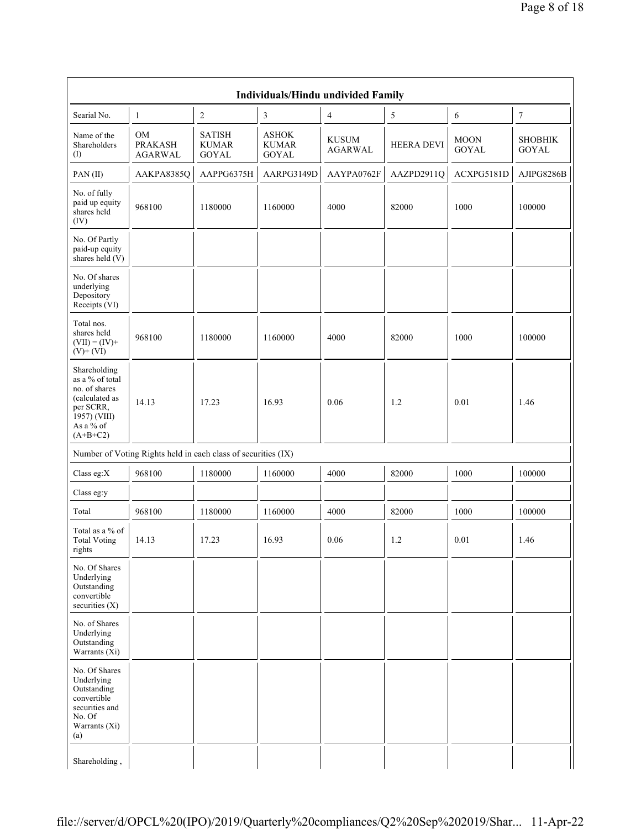|                                                                                                                            | Individuals/Hindu undivided Family                            |                                        |                                       |                                |                   |                             |                                |  |  |  |
|----------------------------------------------------------------------------------------------------------------------------|---------------------------------------------------------------|----------------------------------------|---------------------------------------|--------------------------------|-------------------|-----------------------------|--------------------------------|--|--|--|
| Searial No.                                                                                                                | $\mathbf{1}$                                                  | $\sqrt{2}$                             | 3                                     | $\overline{4}$                 | 5                 | 6                           | $\boldsymbol{7}$               |  |  |  |
| Name of the<br>Shareholders<br>(I)                                                                                         | OM<br><b>PRAKASH</b><br><b>AGARWAL</b>                        | <b>SATISH</b><br><b>KUMAR</b><br>GOYAL | <b>ASHOK</b><br><b>KUMAR</b><br>GOYAL | <b>KUSUM</b><br><b>AGARWAL</b> | <b>HEERA DEVI</b> | <b>MOON</b><br><b>GOYAL</b> | <b>SHOBHIK</b><br><b>GOYAL</b> |  |  |  |
| PAN(II)                                                                                                                    | AAKPA8385Q                                                    | AAPPG6375H                             | AARPG3149D                            | AAYPA0762F                     | AAZPD2911Q        | ACXPG5181D                  | AJIPG8286B                     |  |  |  |
| No. of fully<br>paid up equity<br>shares held<br>(IV)                                                                      | 968100                                                        | 1180000                                | 1160000                               | 4000                           | 82000             | 1000                        | 100000                         |  |  |  |
| No. Of Partly<br>paid-up equity<br>shares held $(V)$                                                                       |                                                               |                                        |                                       |                                |                   |                             |                                |  |  |  |
| No. Of shares<br>underlying<br>Depository<br>Receipts (VI)                                                                 |                                                               |                                        |                                       |                                |                   |                             |                                |  |  |  |
| Total nos.<br>shares held<br>$(VII) = (IV) +$<br>$(V)$ + $(VI)$                                                            | 968100                                                        | 1180000                                | 1160000                               | 4000                           | 82000             | 1000                        | 100000                         |  |  |  |
| Shareholding<br>as a % of total<br>no. of shares<br>(calculated as<br>per SCRR,<br>1957) (VIII)<br>As a % of<br>$(A+B+C2)$ | 14.13                                                         | 17.23                                  | 16.93                                 | 0.06                           | 1.2               | 0.01                        | 1.46                           |  |  |  |
|                                                                                                                            | Number of Voting Rights held in each class of securities (IX) |                                        |                                       |                                |                   |                             |                                |  |  |  |
| Class eg: $X$                                                                                                              | 968100                                                        | 1180000                                | 1160000                               | 4000                           | 82000             | 1000                        | 100000                         |  |  |  |
| Class eg:y                                                                                                                 |                                                               |                                        |                                       |                                |                   |                             |                                |  |  |  |
| Total                                                                                                                      | 968100                                                        | 1180000                                | 1160000                               | 4000                           | 82000             | 1000                        | 100000                         |  |  |  |
| Total as a % of<br><b>Total Voting</b><br>rights                                                                           | 14.13                                                         | 17.23                                  | 16.93                                 | 0.06                           | 1.2               | $0.01\,$                    | 1.46                           |  |  |  |
| No. Of Shares<br>Underlying<br>Outstanding<br>convertible<br>securities $(X)$                                              |                                                               |                                        |                                       |                                |                   |                             |                                |  |  |  |
| No. of Shares<br>Underlying<br>Outstanding<br>Warrants $(X_i)$                                                             |                                                               |                                        |                                       |                                |                   |                             |                                |  |  |  |
| No. Of Shares<br>Underlying<br>Outstanding<br>convertible<br>securities and<br>No. Of<br>Warrants (Xi)<br>(a)              |                                                               |                                        |                                       |                                |                   |                             |                                |  |  |  |
| Shareholding,                                                                                                              |                                                               |                                        |                                       |                                |                   |                             |                                |  |  |  |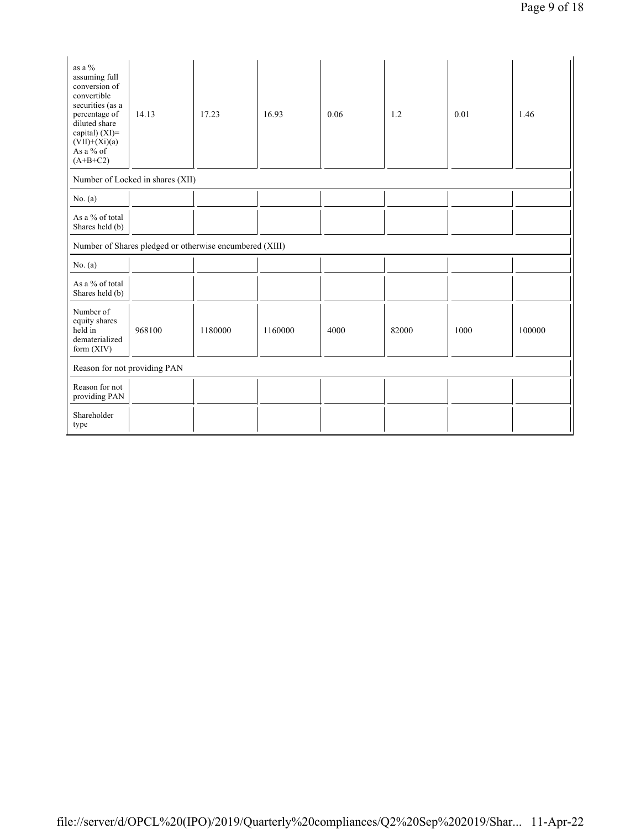| as a %<br>assuming full<br>conversion of<br>convertible<br>securities (as a<br>percentage of<br>diluted share<br>capital) $(XI)$ =<br>$(VII)+(Xi)(a)$<br>As a % of<br>$(A+B+C2)$ | 14.13                                                   | 17.23   | 16.93   | 0.06 | 1.2   | 0.01 | 1.46   |  |  |
|----------------------------------------------------------------------------------------------------------------------------------------------------------------------------------|---------------------------------------------------------|---------|---------|------|-------|------|--------|--|--|
|                                                                                                                                                                                  | Number of Locked in shares (XII)                        |         |         |      |       |      |        |  |  |
| No. $(a)$                                                                                                                                                                        |                                                         |         |         |      |       |      |        |  |  |
| As a % of total<br>Shares held (b)                                                                                                                                               |                                                         |         |         |      |       |      |        |  |  |
|                                                                                                                                                                                  | Number of Shares pledged or otherwise encumbered (XIII) |         |         |      |       |      |        |  |  |
| No. $(a)$                                                                                                                                                                        |                                                         |         |         |      |       |      |        |  |  |
| As a % of total<br>Shares held (b)                                                                                                                                               |                                                         |         |         |      |       |      |        |  |  |
| Number of<br>equity shares<br>held in<br>dematerialized<br>form $(XIV)$                                                                                                          | 968100                                                  | 1180000 | 1160000 | 4000 | 82000 | 1000 | 100000 |  |  |
| Reason for not providing PAN                                                                                                                                                     |                                                         |         |         |      |       |      |        |  |  |
| Reason for not<br>providing PAN                                                                                                                                                  |                                                         |         |         |      |       |      |        |  |  |
| Shareholder<br>type                                                                                                                                                              |                                                         |         |         |      |       |      |        |  |  |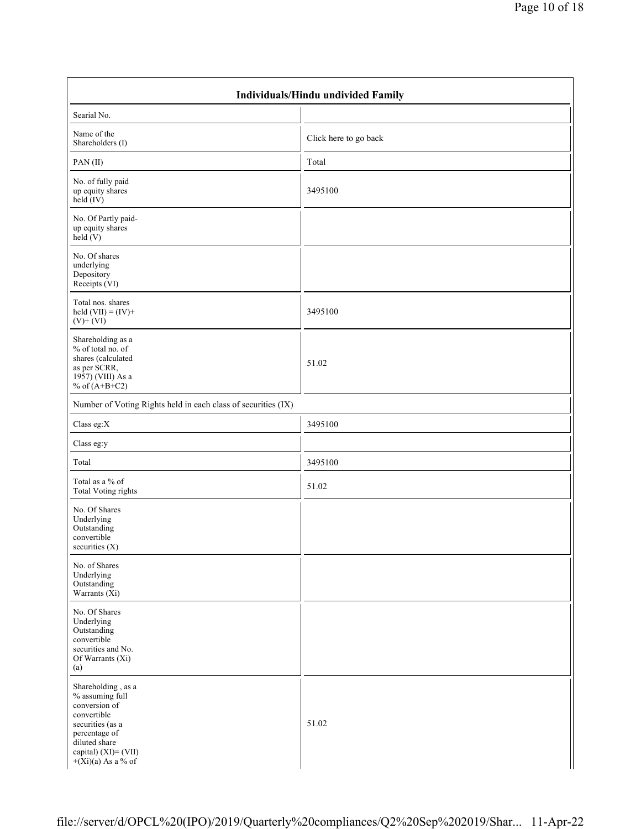| Individuals/Hindu undivided Family                                                                                                                                          |                       |  |  |  |  |  |  |
|-----------------------------------------------------------------------------------------------------------------------------------------------------------------------------|-----------------------|--|--|--|--|--|--|
| Searial No.                                                                                                                                                                 |                       |  |  |  |  |  |  |
| Name of the<br>Shareholders (I)                                                                                                                                             | Click here to go back |  |  |  |  |  |  |
| PAN(II)                                                                                                                                                                     | Total                 |  |  |  |  |  |  |
| No. of fully paid<br>up equity shares<br>$\text{held} (IV)$                                                                                                                 | 3495100               |  |  |  |  |  |  |
| No. Of Partly paid-<br>up equity shares<br>held $(V)$                                                                                                                       |                       |  |  |  |  |  |  |
| No. Of shares<br>underlying<br>Depository<br>Receipts (VI)                                                                                                                  |                       |  |  |  |  |  |  |
| Total nos. shares<br>held $(VII) = (IV) +$<br>$(V)$ + $(VI)$                                                                                                                | 3495100               |  |  |  |  |  |  |
| Shareholding as a<br>% of total no. of<br>shares (calculated<br>as per SCRR,<br>1957) (VIII) As a<br>% of $(A+B+C2)$                                                        | 51.02                 |  |  |  |  |  |  |
| Number of Voting Rights held in each class of securities (IX)                                                                                                               |                       |  |  |  |  |  |  |
| Class eg: $X$                                                                                                                                                               | 3495100               |  |  |  |  |  |  |
| Class eg:y                                                                                                                                                                  |                       |  |  |  |  |  |  |
| Total                                                                                                                                                                       | 3495100               |  |  |  |  |  |  |
| Total as a % of<br><b>Total Voting rights</b>                                                                                                                               | 51.02                 |  |  |  |  |  |  |
| No. Of Shares<br>Underlying<br>Outstanding<br>convertible<br>securities (X)                                                                                                 |                       |  |  |  |  |  |  |
| No. of Shares<br>Underlying<br>Outstanding<br>Warrants $(X_i)$                                                                                                              |                       |  |  |  |  |  |  |
| No. Of Shares<br>Underlying<br>Outstanding<br>convertible<br>securities and No.<br>Of Warrants (Xi)<br>(a)                                                                  |                       |  |  |  |  |  |  |
| Shareholding, as a<br>% assuming full<br>conversion of<br>convertible<br>securities (as a<br>percentage of<br>diluted share<br>capital) (XI)= (VII)<br>$+(Xi)(a)$ As a % of | 51.02                 |  |  |  |  |  |  |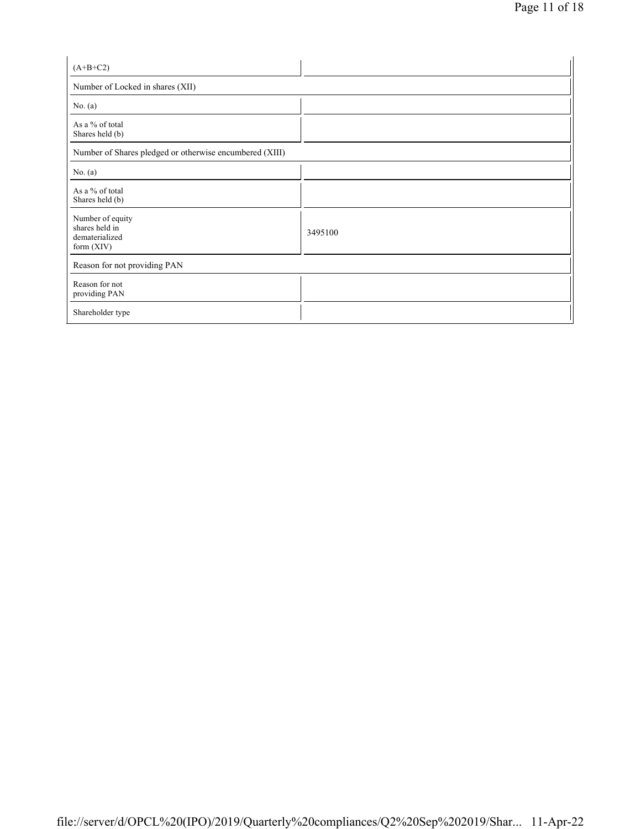| $(A+B+C2)$                                                           |         |  |  |  |  |  |
|----------------------------------------------------------------------|---------|--|--|--|--|--|
| Number of Locked in shares (XII)                                     |         |  |  |  |  |  |
| No. $(a)$                                                            |         |  |  |  |  |  |
| As a % of total<br>Shares held (b)                                   |         |  |  |  |  |  |
| Number of Shares pledged or otherwise encumbered (XIII)              |         |  |  |  |  |  |
| No. (a)                                                              |         |  |  |  |  |  |
| As a % of total<br>Shares held (b)                                   |         |  |  |  |  |  |
| Number of equity<br>shares held in<br>dematerialized<br>form $(XIV)$ | 3495100 |  |  |  |  |  |
| Reason for not providing PAN                                         |         |  |  |  |  |  |
| Reason for not<br>providing PAN                                      |         |  |  |  |  |  |
| Shareholder type                                                     |         |  |  |  |  |  |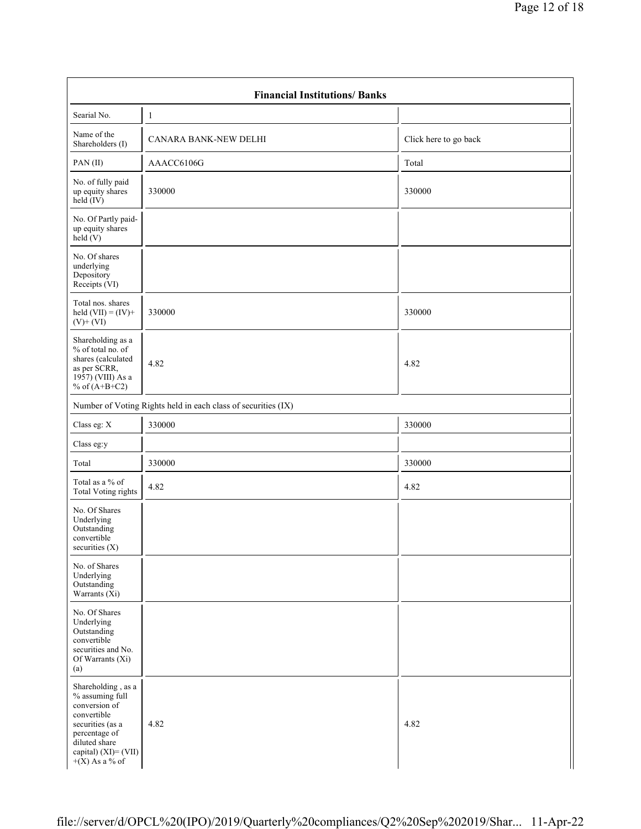| <b>Financial Institutions/Banks</b>                                                                                                                                     |                                                               |                       |  |  |  |  |  |  |  |
|-------------------------------------------------------------------------------------------------------------------------------------------------------------------------|---------------------------------------------------------------|-----------------------|--|--|--|--|--|--|--|
| Searial No.                                                                                                                                                             | $\mathbf{1}$                                                  |                       |  |  |  |  |  |  |  |
| Name of the<br>Shareholders (I)                                                                                                                                         | CANARA BANK-NEW DELHI                                         | Click here to go back |  |  |  |  |  |  |  |
| PAN(II)                                                                                                                                                                 | AAACC6106G                                                    | Total                 |  |  |  |  |  |  |  |
| No. of fully paid<br>up equity shares<br>$held$ (IV)                                                                                                                    | 330000                                                        | 330000                |  |  |  |  |  |  |  |
| No. Of Partly paid-<br>up equity shares<br>held(V)                                                                                                                      |                                                               |                       |  |  |  |  |  |  |  |
| No. Of shares<br>underlying<br>Depository<br>Receipts (VI)                                                                                                              |                                                               |                       |  |  |  |  |  |  |  |
| Total nos. shares<br>held $(VII) = (IV) +$<br>$(V)$ + $(VI)$                                                                                                            | 330000                                                        | 330000                |  |  |  |  |  |  |  |
| Shareholding as a<br>% of total no. of<br>shares (calculated<br>as per SCRR,<br>1957) (VIII) As a<br>% of $(A+B+C2)$                                                    | 4.82                                                          | 4.82                  |  |  |  |  |  |  |  |
|                                                                                                                                                                         | Number of Voting Rights held in each class of securities (IX) |                       |  |  |  |  |  |  |  |
| Class eg: X                                                                                                                                                             | 330000                                                        | 330000                |  |  |  |  |  |  |  |
| Class eg:y                                                                                                                                                              |                                                               |                       |  |  |  |  |  |  |  |
| Total                                                                                                                                                                   | 330000                                                        | 330000                |  |  |  |  |  |  |  |
| Total as a % of<br><b>Total Voting rights</b>                                                                                                                           | 4.82                                                          | 4.82                  |  |  |  |  |  |  |  |
| No. Of Shares<br>Underlying<br>Outstanding<br>convertible<br>securities (X)                                                                                             |                                                               |                       |  |  |  |  |  |  |  |
| No. of Shares<br>Underlying<br>Outstanding<br>Warrants $(X_i)$                                                                                                          |                                                               |                       |  |  |  |  |  |  |  |
| No. Of Shares<br>Underlying<br>Outstanding<br>convertible<br>securities and No.<br>Of Warrants (Xi)<br>(a)                                                              |                                                               |                       |  |  |  |  |  |  |  |
| Shareholding, as a<br>% assuming full<br>conversion of<br>convertible<br>securities (as a<br>percentage of<br>diluted share<br>capital) (XI)= (VII)<br>$+(X)$ As a % of | 4.82                                                          | 4.82                  |  |  |  |  |  |  |  |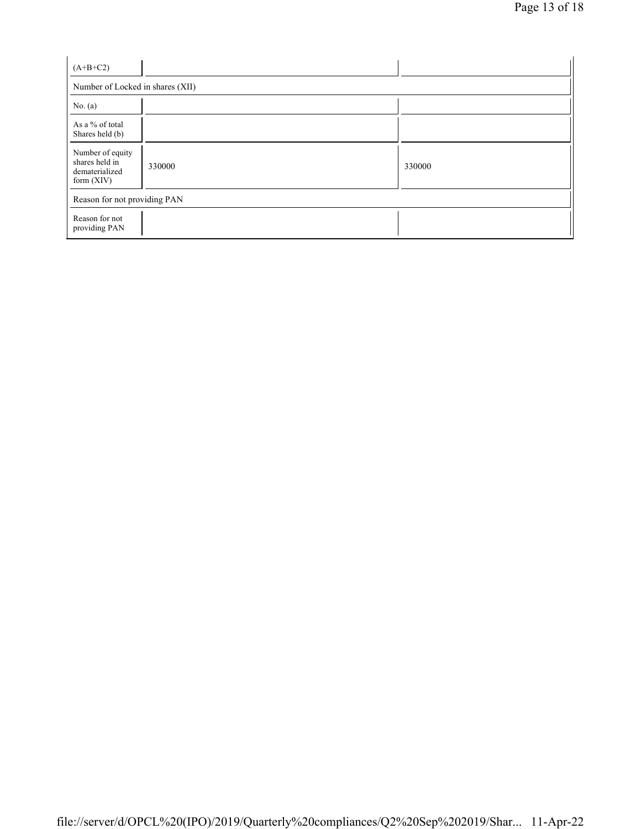| $(A+B+C2)$                                                           |        |        |  |
|----------------------------------------------------------------------|--------|--------|--|
| Number of Locked in shares (XII)                                     |        |        |  |
| No. $(a)$                                                            |        |        |  |
| As a % of total<br>Shares held (b)                                   |        |        |  |
| Number of equity<br>shares held in<br>dematerialized<br>form $(XIV)$ | 330000 | 330000 |  |
| Reason for not providing PAN                                         |        |        |  |
| Reason for not<br>providing PAN                                      |        |        |  |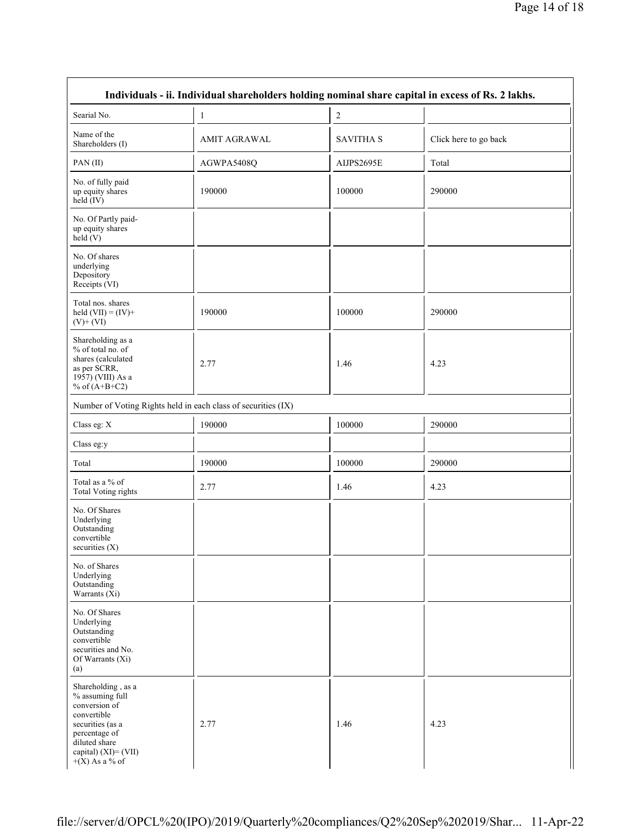| Individuals - ii. Individual shareholders holding nominal share capital in excess of Rs. 2 lakhs.                                                                          |                     |                  |                       |
|----------------------------------------------------------------------------------------------------------------------------------------------------------------------------|---------------------|------------------|-----------------------|
| Searial No.                                                                                                                                                                | $\mathbf{1}$        | 2                |                       |
| Name of the<br>Shareholders (I)                                                                                                                                            | <b>AMIT AGRAWAL</b> | <b>SAVITHA S</b> | Click here to go back |
| PAN(II)                                                                                                                                                                    | AGWPA5408Q          | AIJPS2695E       | Total                 |
| No. of fully paid<br>up equity shares<br>$held$ (IV)                                                                                                                       | 190000              | 100000           | 290000                |
| No. Of Partly paid-<br>up equity shares<br>held(V)                                                                                                                         |                     |                  |                       |
| No. Of shares<br>underlying<br>Depository<br>Receipts (VI)                                                                                                                 |                     |                  |                       |
| Total nos. shares<br>held $(VII) = (IV) +$<br>$(V)$ + $(VI)$                                                                                                               | 190000              | 100000           | 290000                |
| Shareholding as a<br>% of total no. of<br>shares (calculated<br>as per SCRR,<br>1957) (VIII) As a<br>% of $(A+B+C2)$                                                       | 2.77                | 1.46             | 4.23                  |
| Number of Voting Rights held in each class of securities (IX)                                                                                                              |                     |                  |                       |
| Class eg: X                                                                                                                                                                | 190000              | 100000           | 290000                |
| Class eg:y                                                                                                                                                                 |                     |                  |                       |
| Total                                                                                                                                                                      | 190000              | 100000           | 290000                |
| Total as a % of<br><b>Total Voting rights</b>                                                                                                                              | 2.77                | 1.46             | 4.23                  |
| No. Of Shares<br>Underlying<br>Outstanding<br>convertible<br>securities (X)                                                                                                |                     |                  |                       |
| No. of Shares<br>Underlying<br>Outstanding<br>Warrants $(X_i)$                                                                                                             |                     |                  |                       |
| No. Of Shares<br>Underlying<br>Outstanding<br>convertible<br>securities and No.<br>Of Warrants (Xi)<br>(a)                                                                 |                     |                  |                       |
| Shareholding, as a<br>% assuming full<br>conversion of<br>convertible<br>securities (as a<br>percentage of<br>diluted share<br>capital) $(XI) = (VII)$<br>$+(X)$ As a % of | 2.77                | 1.46             | 4.23                  |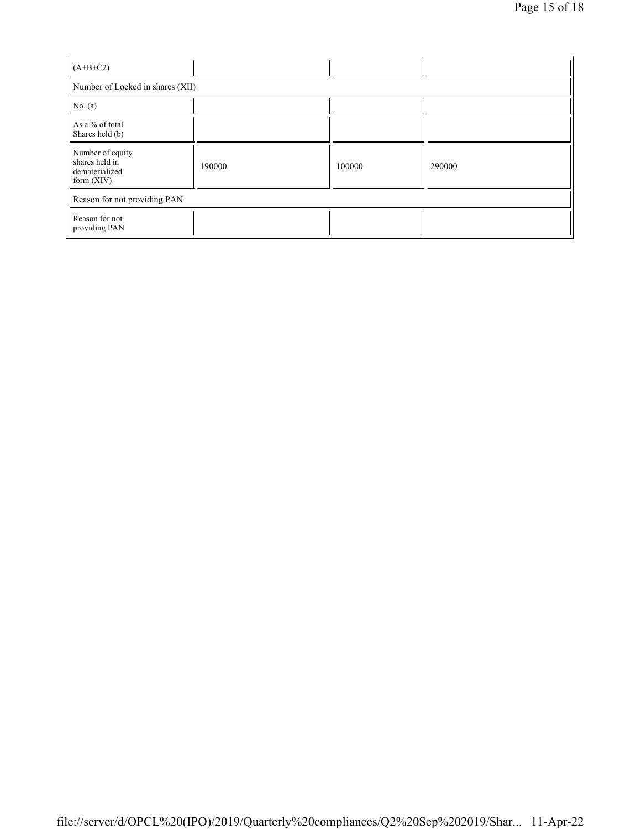| $(A+B+C2)$                                                           |        |        |        |
|----------------------------------------------------------------------|--------|--------|--------|
| Number of Locked in shares (XII)                                     |        |        |        |
| No. $(a)$                                                            |        |        |        |
| As a % of total<br>Shares held (b)                                   |        |        |        |
| Number of equity<br>shares held in<br>dematerialized<br>form $(XIV)$ | 190000 | 100000 | 290000 |
| Reason for not providing PAN                                         |        |        |        |
| Reason for not<br>providing PAN                                      |        |        |        |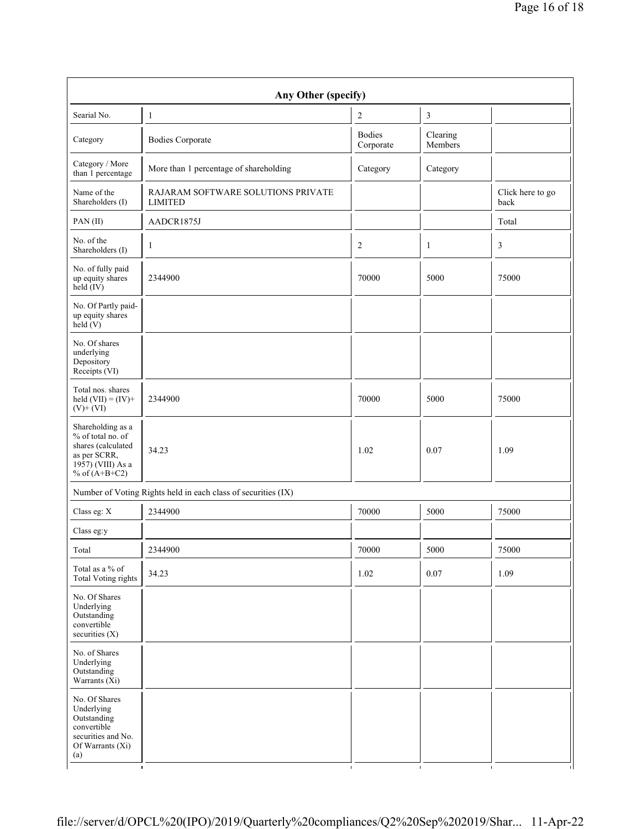| Any Other (specify)                                                                                                  |                                                               |                            |                     |                          |
|----------------------------------------------------------------------------------------------------------------------|---------------------------------------------------------------|----------------------------|---------------------|--------------------------|
| Searial No.                                                                                                          | $\mathbf{1}$                                                  | $\overline{c}$             | 3                   |                          |
| Category                                                                                                             | <b>Bodies Corporate</b>                                       | <b>Bodies</b><br>Corporate | Clearing<br>Members |                          |
| Category / More<br>than 1 percentage                                                                                 | More than 1 percentage of shareholding                        | Category                   | Category            |                          |
| Name of the<br>Shareholders (I)                                                                                      | RAJARAM SOFTWARE SOLUTIONS PRIVATE<br><b>LIMITED</b>          |                            |                     | Click here to go<br>back |
| PAN(II)                                                                                                              | AADCR1875J                                                    |                            |                     | Total                    |
| No. of the<br>Shareholders (I)                                                                                       | $\mathbf{1}$                                                  | $\overline{c}$             | $\mathbf{1}$        | 3                        |
| No. of fully paid<br>up equity shares<br>held (IV)                                                                   | 2344900                                                       | 70000                      | 5000                | 75000                    |
| No. Of Partly paid-<br>up equity shares<br>held(V)                                                                   |                                                               |                            |                     |                          |
| No. Of shares<br>underlying<br>Depository<br>Receipts (VI)                                                           |                                                               |                            |                     |                          |
| Total nos. shares<br>held $(VII) = (IV) +$<br>$(V)+(VI)$                                                             | 2344900                                                       | 70000                      | 5000                | 75000                    |
| Shareholding as a<br>% of total no. of<br>shares (calculated<br>as per SCRR,<br>1957) (VIII) As a<br>% of $(A+B+C2)$ | 34.23                                                         | 1.02                       | 0.07                | 1.09                     |
|                                                                                                                      | Number of Voting Rights held in each class of securities (IX) |                            |                     |                          |
| Class eg: X                                                                                                          | 2344900                                                       | 70000                      | 5000                | 75000                    |
| Class eg:y                                                                                                           |                                                               |                            |                     |                          |
| Total                                                                                                                | 2344900                                                       | 70000                      | 5000                | 75000                    |
| Total as a % of<br>Total Voting rights                                                                               | 34.23                                                         | 1.02                       | $0.07\,$            | 1.09                     |
| No. Of Shares<br>Underlying<br>Outstanding<br>convertible<br>securities (X)                                          |                                                               |                            |                     |                          |
| No. of Shares<br>Underlying<br>Outstanding<br>Warrants $(X_i)$                                                       |                                                               |                            |                     |                          |
| No. Of Shares<br>Underlying<br>Outstanding<br>convertible<br>securities and No.<br>Of Warrants (Xi)<br>(a)           |                                                               |                            |                     |                          |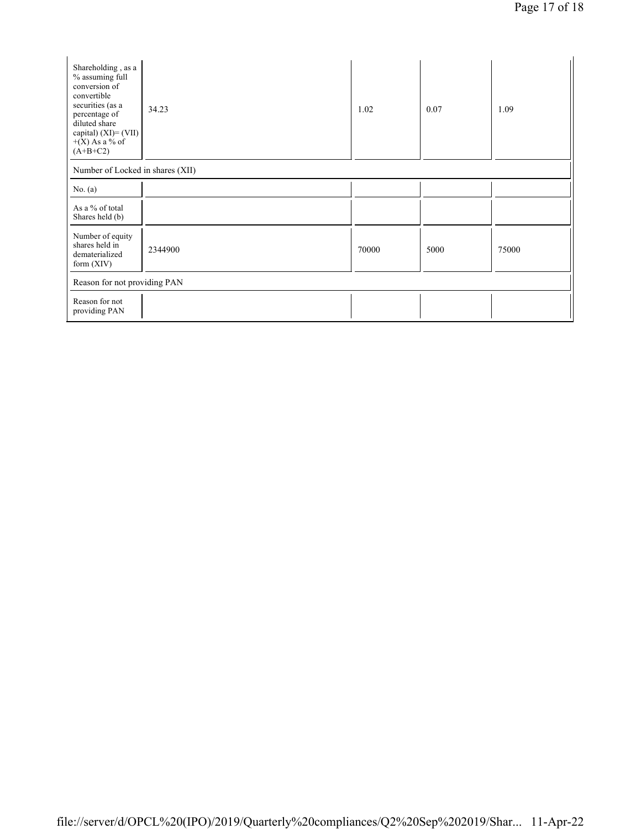| Shareholding, as a<br>% assuming full<br>conversion of<br>convertible<br>securities (as a<br>percentage of<br>diluted share<br>capital) $(XI) = (VII)$<br>$+(X)$ As a % of<br>$(A+B+C2)$ | 34.23                            | 1.02  | 0.07 | 1.09  |
|------------------------------------------------------------------------------------------------------------------------------------------------------------------------------------------|----------------------------------|-------|------|-------|
|                                                                                                                                                                                          | Number of Locked in shares (XII) |       |      |       |
| No. $(a)$                                                                                                                                                                                |                                  |       |      |       |
| As a % of total<br>Shares held (b)                                                                                                                                                       |                                  |       |      |       |
| Number of equity<br>shares held in<br>dematerialized<br>form $(XIV)$                                                                                                                     | 2344900                          | 70000 | 5000 | 75000 |
| Reason for not providing PAN                                                                                                                                                             |                                  |       |      |       |
| Reason for not<br>providing PAN                                                                                                                                                          |                                  |       |      |       |